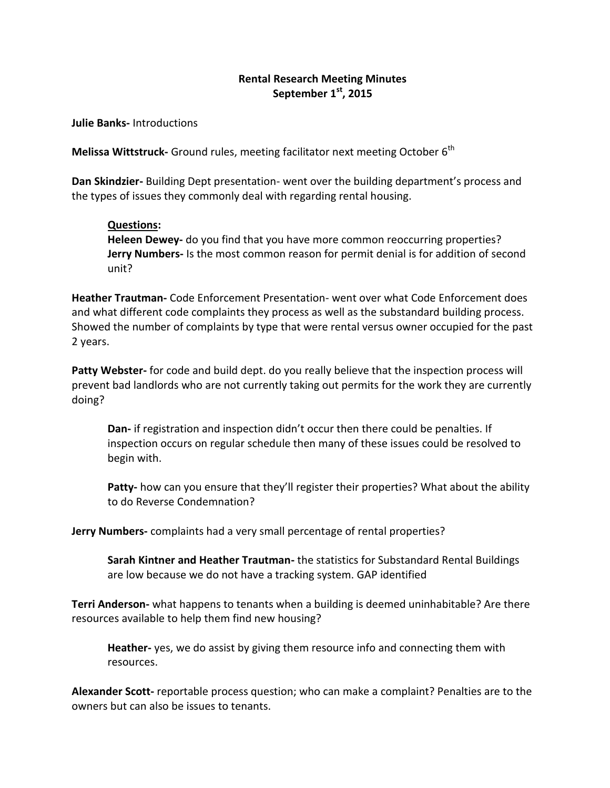# **Rental Research Meeting Minutes September 1st, 2015**

**Julie Banks-** Introductions

**Melissa Wittstruck-** Ground rules, meeting facilitator next meeting October 6<sup>th</sup>

**Dan Skindzier-** Building Dept presentation- went over the building department's process and the types of issues they commonly deal with regarding rental housing.

## **Questions:**

**Heleen Dewey-** do you find that you have more common reoccurring properties? **Jerry Numbers-** Is the most common reason for permit denial is for addition of second unit?

**Heather Trautman-** Code Enforcement Presentation- went over what Code Enforcement does and what different code complaints they process as well as the substandard building process. Showed the number of complaints by type that were rental versus owner occupied for the past 2 years.

**Patty Webster-** for code and build dept. do you really believe that the inspection process will prevent bad landlords who are not currently taking out permits for the work they are currently doing?

**Dan-** if registration and inspection didn't occur then there could be penalties. If inspection occurs on regular schedule then many of these issues could be resolved to begin with.

Patty- how can you ensure that they'll register their properties? What about the ability to do Reverse Condemnation?

**Jerry Numbers-** complaints had a very small percentage of rental properties?

**Sarah Kintner and Heather Trautman-** the statistics for Substandard Rental Buildings are low because we do not have a tracking system. GAP identified

**Terri Anderson-** what happens to tenants when a building is deemed uninhabitable? Are there resources available to help them find new housing?

**Heather-** yes, we do assist by giving them resource info and connecting them with resources.

**Alexander Scott-** reportable process question; who can make a complaint? Penalties are to the owners but can also be issues to tenants.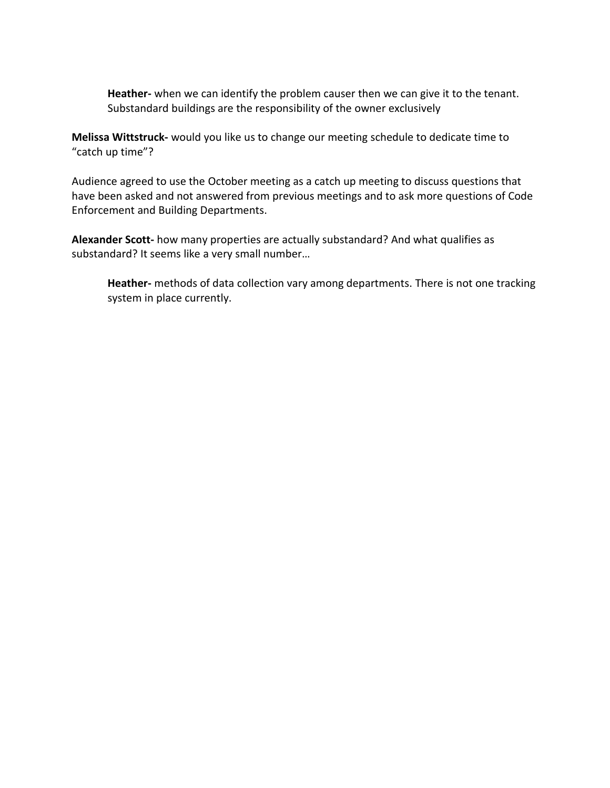**Heather-** when we can identify the problem causer then we can give it to the tenant. Substandard buildings are the responsibility of the owner exclusively

**Melissa Wittstruck-** would you like us to change our meeting schedule to dedicate time to "catch up time"?

Audience agreed to use the October meeting as a catch up meeting to discuss questions that have been asked and not answered from previous meetings and to ask more questions of Code Enforcement and Building Departments.

**Alexander Scott-** how many properties are actually substandard? And what qualifies as substandard? It seems like a very small number…

**Heather-** methods of data collection vary among departments. There is not one tracking system in place currently.